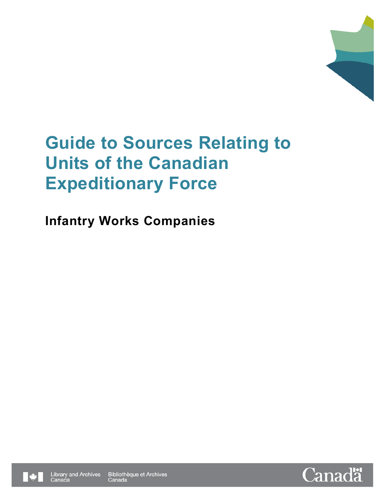

**Infantry Works Companies** 



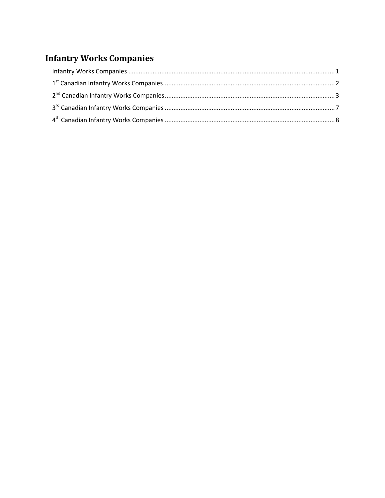# **Infantry Works Companies**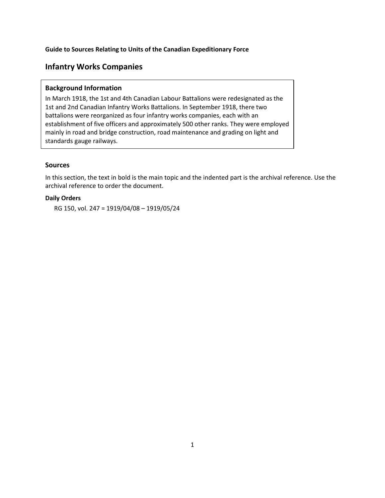## <span id="page-2-0"></span>**Infantry Works Companies**

#### **Background Information**

In March 1918, the 1st and 4th Canadian Labour Battalions were redesignated as the 1st and 2nd Canadian Infantry Works Battalions. In September 1918, there two battalions were reorganized as four infantry works companies, each with an establishment of five officers and approximately 500 other ranks. They were employed mainly in road and bridge construction, road maintenance and grading on light and standards gauge railways.

#### **Sources**

In this section, the text in bold is the main topic and the indented part is the archival reference. Use the archival reference to order the document.

#### **Daily Orders**

RG 150, vol. 247 = 1919/04/08 – 1919/05/24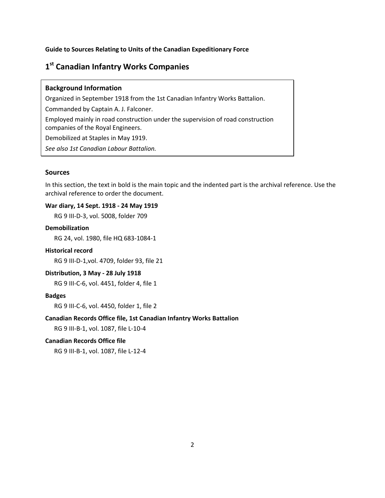# <span id="page-3-0"></span>**1st Canadian Infantry Works Companies**

#### **Background Information**

Organized in September 1918 from the 1st Canadian Infantry Works Battalion.

Commanded by Captain A. J. Falconer.

Employed mainly in road construction under the supervision of road construction companies of the Royal Engineers.

Demobilized at Staples in May 1919.

*See also 1st Canadian Labour Battalion.*

#### **Sources**

In this section, the text in bold is the main topic and the indented part is the archival reference. Use the archival reference to order the document.

#### **War diary, 14 Sept. 1918 - 24 May 1919**

RG 9 III-D-3, vol. 5008, folder 709

#### **Demobilization**

RG 24, vol. 1980, file HQ 683-1084-1

#### **Historical record**

RG 9 III-D-1,vol. 4709, folder 93, file 21

#### **Distribution, 3 May - 28 July 1918**

RG 9 III-C-6, vol. 4451, folder 4, file 1

#### **Badges**

RG 9 III-C-6, vol. 4450, folder 1, file 2

#### **Canadian Records Office file, 1st Canadian Infantry Works Battalion**

RG 9 III-B-1, vol. 1087, file L-10-4

#### **Canadian Records Office file**

RG 9 III-B-1, vol. 1087, file L-12-4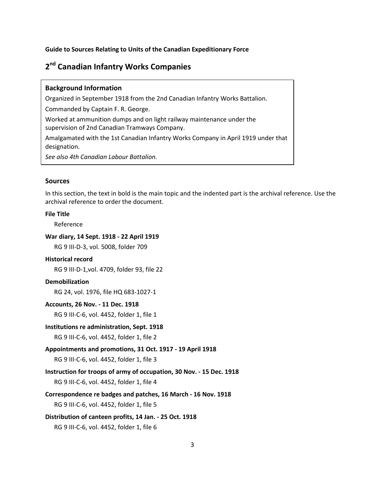# <span id="page-4-0"></span>**2nd Canadian Infantry Works Companies**

#### **Background Information**

Organized in September 1918 from the 2nd Canadian Infantry Works Battalion.

Commanded by Captain F. R. George.

Worked at ammunition dumps and on light railway maintenance under the

supervision of 2nd Canadian Tramways Company.

Amalgamated with the 1st Canadian Infantry Works Company in April 1919 under that designation.

*See also 4th Canadian Labour Battalion.*

#### **Sources**

In this section, the text in bold is the main topic and the indented part is the archival reference. Use the archival reference to order the document.

#### **File Title**

Reference

#### **War diary, 14 Sept. 1918 - 22 April 1919**

RG 9 III-D-3, vol. 5008, folder 709

#### **Historical record**

RG 9 III-D-1,vol. 4709, folder 93, file 22

#### **Demobilization**

RG 24, vol. 1976, file HQ 683-1027-1

#### **Accounts, 26 Nov. - 11 Dec. 1918**

RG 9 III-C-6, vol. 4452, folder 1, file 1

#### **Institutions re administration, Sept. 1918**

RG 9 III-C-6, vol. 4452, folder 1, file 2

### **Appointments and promotions, 31 Oct. 1917 - 19 April 1918**

RG 9 III-C-6, vol. 4452, folder 1, file 3

**Instruction for troops of army of occupation, 30 Nov. - 15 Dec. 1918**

RG 9 III-C-6, vol. 4452, folder 1, file 4

#### **Correspondence re badges and patches, 16 March - 16 Nov. 1918**

RG 9 III-C-6, vol. 4452, folder 1, file 5

#### **Distribution of canteen profits, 14 Jan. - 25 Oct. 1918**

RG 9 III-C-6, vol. 4452, folder 1, file 6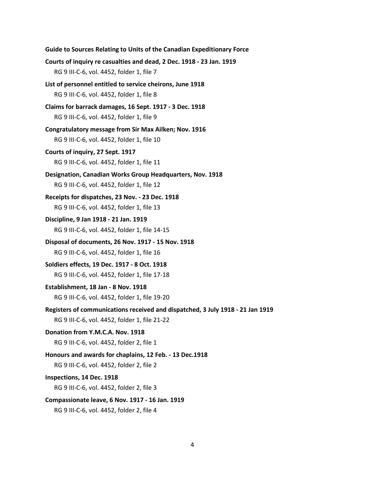| Guide to Sources Relating to Units of the Canadian Expeditionary Force         |
|--------------------------------------------------------------------------------|
| Courts of inquiry re casualties and dead, 2 Dec. 1918 - 23 Jan. 1919           |
| RG 9 III-C-6, vol. 4452, folder 1, file 7                                      |
| List of personnel entitled to service cheirons, June 1918                      |
| RG 9 III-C-6, vol. 4452, folder 1, file 8                                      |
| Claims for barrack damages, 16 Sept. 1917 - 3 Dec. 1918                        |
| RG 9 III-C-6, vol. 4452, folder 1, file 9                                      |
| Congratulatory message from Sir Max Ailken; Nov. 1916                          |
| RG 9 III-C-6, vol. 4452, folder 1, file 10                                     |
| Courts of inquiry, 27 Sept. 1917                                               |
| RG 9 III-C-6, vol. 4452, folder 1, file 11                                     |
| Designation, Canadian Works Group Headquarters, Nov. 1918                      |
| RG 9 III-C-6, vol. 4452, folder 1, file 12                                     |
| Receipts for dispatches, 23 Nov. - 23 Dec. 1918                                |
| RG 9 III-C-6, vol. 4452, folder 1, file 13                                     |
| Discipline, 9 Jan 1918 - 21 Jan. 1919                                          |
| RG 9 III-C-6, vol. 4452, folder 1, file 14-15                                  |
| Disposal of documents, 26 Nov. 1917 - 15 Nov. 1918                             |
| RG 9 III-C-6, vol. 4452, folder 1, file 16                                     |
| Soldiers effects, 19 Dec. 1917 - 8 Oct. 1918                                   |
| RG 9 III-C-6, vol. 4452, folder 1, file 17-18                                  |
| Establishment, 18 Jan - 8 Nov. 1918                                            |
| RG 9 III-C-6, vol. 4452, folder 1, file 19-20                                  |
| Registers of communications received and dispatched, 3 July 1918 - 21 Jan 1919 |
| RG 9 III-C-6, vol. 4452, folder 1, file 21-22                                  |
| Donation from Y.M.C.A. Nov. 1918                                               |
| RG 9 III-C-6, vol. 4452, folder 2, file 1                                      |
| Honours and awards for chaplains, 12 Feb. - 13 Dec.1918                        |
| RG 9 III-C-6, vol. 4452, folder 2, file 2                                      |
| Inspections, 14 Dec. 1918                                                      |
| RG 9 III-C-6, vol. 4452, folder 2, file 3                                      |
| Compassionate leave, 6 Nov. 1917 - 16 Jan. 1919                                |

RG 9 III-C-6, vol. 4452, folder 2, file 4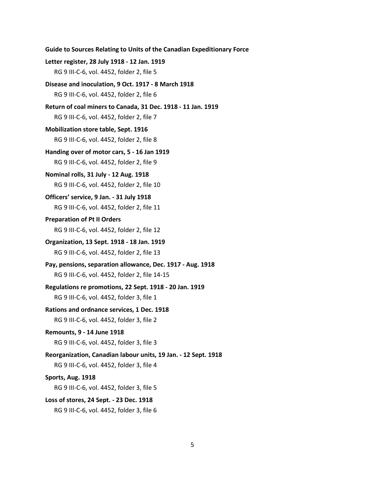```
Guide to Sources Relating to Units of the Canadian Expeditionary Force
Letter register, 28 July 1918 - 12 Jan. 1919
   RG 9 III-C-6, vol. 4452, folder 2, file 5
Disease and inoculation, 9 Oct. 1917 - 8 March 1918
   RG 9 III-C-6, vol. 4452, folder 2, file 6
Return of coal miners to Canada, 31 Dec. 1918 - 11 Jan. 1919
   RG 9 III-C-6, vol. 4452, folder 2, file 7
Mobilization store table, Sept. 1916
   RG 9 III-C-6, vol. 4452, folder 2, file 8
Handing over of motor cars, 5 - 16 Jan 1919
   RG 9 III-C-6, vol. 4452, folder 2, file 9
Nominal rolls, 31 July - 12 Aug. 1918
   RG 9 III-C-6, vol. 4452, folder 2, file 10
Officers' service, 9 Jan. - 31 July 1918
   RG 9 III-C-6, vol. 4452, folder 2, file 11
Preparation of Pt II Orders
   RG 9 III-C-6, vol. 4452, folder 2, file 12
Organization, 13 Sept. 1918 - 18 Jan. 1919
   RG 9 III-C-6, vol. 4452, folder 2, file 13
Pay, pensions, separation allowance, Dec. 1917 - Aug. 1918
   RG 9 III-C-6, vol. 4452, folder 2, file 14-15
Regulations re promotions, 22 Sept. 1918 - 20 Jan. 1919
   RG 9 III-C-6, vol. 4452, folder 3, file 1
Rations and ordnance services, 1 Dec. 1918
   RG 9 III-C-6, vol. 4452, folder 3, file 2
Remounts, 9 - 14 June 1918
   RG 9 III-C-6, vol. 4452, folder 3, file 3
Reorganization, Canadian labour units, 19 Jan. - 12 Sept. 1918
   RG 9 III-C-6, vol. 4452, folder 3, file 4
Sports, Aug. 1918
   RG 9 III-C-6, vol. 4452, folder 3, file 5 
Loss of stores, 24 Sept. - 23 Dec. 1918
   RG 9 III-C-6, vol. 4452, folder 3, file 6
```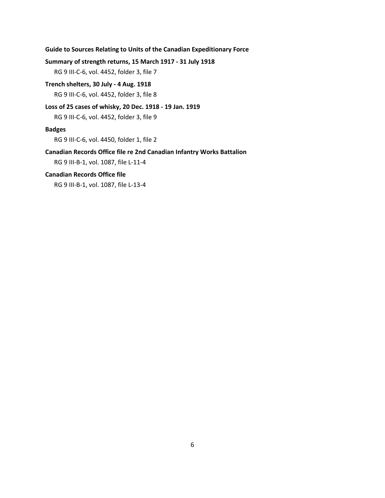#### **Summary of strength returns, 15 March 1917 - 31 July 1918**

RG 9 III-C-6, vol. 4452, folder 3, file 7

## **Trench shelters, 30 July - 4 Aug. 1918**

RG 9 III-C-6, vol. 4452, folder 3, file 8

#### **Loss of 25 cases of whisky, 20 Dec. 1918 - 19 Jan. 1919**

RG 9 III-C-6, vol. 4452, folder 3, file 9

#### **Badges**

RG 9 III-C-6, vol. 4450, folder 1, file 2

#### **Canadian Records Office file re 2nd Canadian Infantry Works Battalion**

RG 9 III-B-1, vol. 1087, file L-11-4

#### **Canadian Records Office file**

RG 9 III-B-1, vol. 1087, file L-13-4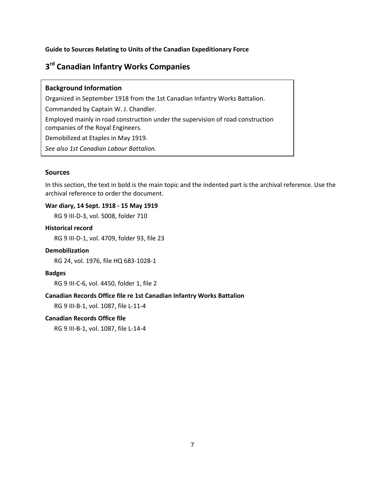# <span id="page-8-0"></span>**3rd Canadian Infantry Works Companies**

#### **Background Information**

Organized in September 1918 from the 1st Canadian Infantry Works Battalion.

Commanded by Captain W. J. Chandler.

Employed mainly in road construction under the supervision of road construction companies of the Royal Engineers.

Demobilized at Etaples in May 1919.

*See also 1st Canadian Labour Battalion.*

#### **Sources**

In this section, the text in bold is the main topic and the indented part is the archival reference. Use the archival reference to order the document.

#### **War diary, 14 Sept. 1918 - 15 May 1919**

RG 9 III-D-3, vol. 5008, folder 710

#### **Historical record**

RG 9 III-D-1, vol. 4709, folder 93, file 23

#### **Demobilization**

RG 24, vol. 1976, file HQ 683-1028-1

#### **Badges**

RG 9 III-C-6, vol. 4450, folder 1, file 2

#### **Canadian Records Office file re 1st Canadian Infantry Works Battalion**

RG 9 III-B-1, vol. 1087, file L-11-4

#### **Canadian Records Office file**

RG 9 III-B-1, vol. 1087, file L-14-4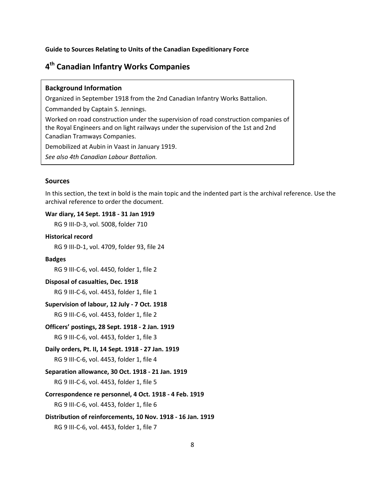# <span id="page-9-0"></span>**4th Canadian Infantry Works Companies**

#### **Background Information**

Organized in September 1918 from the 2nd Canadian Infantry Works Battalion.

Commanded by Captain S. Jennings.

Worked on road construction under the supervision of road construction companies of the Royal Engineers and on light railways under the supervision of the 1st and 2nd Canadian Tramways Companies.

Demobilized at Aubin in Vaast in January 1919.

*See also 4th Canadian Labour Battalion.*

#### **Sources**

In this section, the text in bold is the main topic and the indented part is the archival reference. Use the archival reference to order the document.

#### **War diary, 14 Sept. 1918 - 31 Jan 1919**

RG 9 III-D-3, vol. 5008, folder 710

#### **Historical record**

RG 9 III-D-1, vol. 4709, folder 93, file 24

#### **Badges**

RG 9 III-C-6, vol. 4450, folder 1, file 2

#### **Disposal of casualties, Dec. 1918**

RG 9 III-C-6, vol. 4453, folder 1, file 1

#### **Supervision of labour, 12 July - 7 Oct. 1918**

RG 9 III-C-6, vol. 4453, folder 1, file 2

## **Officers' postings, 28 Sept. 1918 - 2 Jan. 1919**

RG 9 III-C-6, vol. 4453, folder 1, file 3

## **Daily orders, Pt. II, 14 Sept. 1918 - 27 Jan. 1919**

RG 9 III-C-6, vol. 4453, folder 1, file 4

#### **Separation allowance, 30 Oct. 1918 - 21 Jan. 1919**

RG 9 III-C-6, vol. 4453, folder 1, file 5

#### **Correspondence re personnel, 4 Oct. 1918 - 4 Feb. 1919**

RG 9 III-C-6, vol. 4453, folder 1, file 6

#### **Distribution of reinforcements, 10 Nov. 1918 - 16 Jan. 1919**

RG 9 III-C-6, vol. 4453, folder 1, file 7